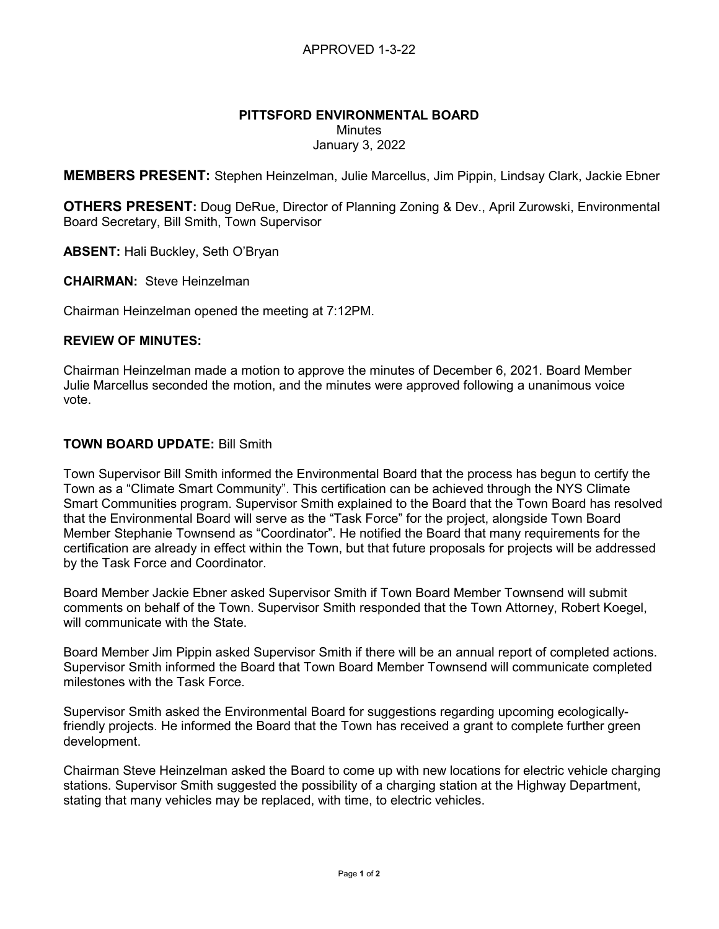# PITTSFORD ENVIRONMENTAL BOARD

**Minutes** 

January 3, 2022

MEMBERS PRESENT: Stephen Heinzelman, Julie Marcellus, Jim Pippin, Lindsay Clark, Jackie Ebner

**OTHERS PRESENT:** Doug DeRue, Director of Planning Zoning & Dev., April Zurowski, Environmental Board Secretary, Bill Smith, Town Supervisor

ABSENT: Hali Buckley, Seth O'Bryan

CHAIRMAN: Steve Heinzelman

Chairman Heinzelman opened the meeting at 7:12PM.

### REVIEW OF MINUTES:

Chairman Heinzelman made a motion to approve the minutes of December 6, 2021. Board Member Julie Marcellus seconded the motion, and the minutes were approved following a unanimous voice vote.

### TOWN BOARD UPDATE: Bill Smith

Town Supervisor Bill Smith informed the Environmental Board that the process has begun to certify the Town as a "Climate Smart Community". This certification can be achieved through the NYS Climate Smart Communities program. Supervisor Smith explained to the Board that the Town Board has resolved that the Environmental Board will serve as the "Task Force" for the project, alongside Town Board Member Stephanie Townsend as "Coordinator". He notified the Board that many requirements for the certification are already in effect within the Town, but that future proposals for projects will be addressed by the Task Force and Coordinator.

Board Member Jackie Ebner asked Supervisor Smith if Town Board Member Townsend will submit comments on behalf of the Town. Supervisor Smith responded that the Town Attorney, Robert Koegel, will communicate with the State.

Board Member Jim Pippin asked Supervisor Smith if there will be an annual report of completed actions. Supervisor Smith informed the Board that Town Board Member Townsend will communicate completed milestones with the Task Force.

Supervisor Smith asked the Environmental Board for suggestions regarding upcoming ecologicallyfriendly projects. He informed the Board that the Town has received a grant to complete further green development.

Chairman Steve Heinzelman asked the Board to come up with new locations for electric vehicle charging stations. Supervisor Smith suggested the possibility of a charging station at the Highway Department, stating that many vehicles may be replaced, with time, to electric vehicles.